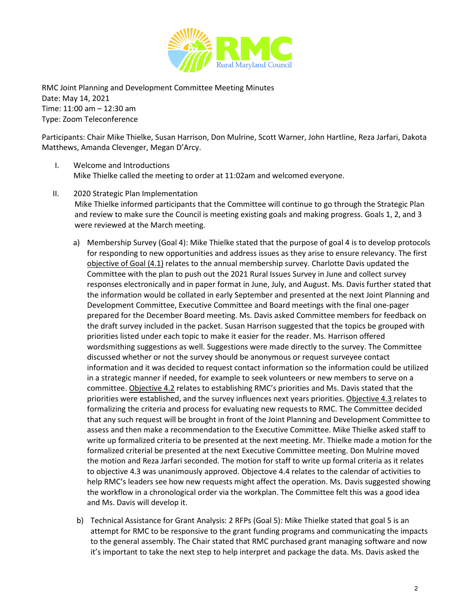

RMC Joint Planning and Development Committee Meeting Minutes Date: May 14, 2021 Time: 11:00 am – 12:30 am Type: Zoom Teleconference

Participants: Chair Mike Thielke, Susan Harrison, Don Mulrine, Scott Warner, John Hartline, Reza Jarfari, Dakota Matthews, Amanda Clevenger, Megan D'Arcy.

- I. Welcome and Introductions Mike Thielke called the meeting to order at 11:02am and welcomed everyone.
- II. 2020 Strategic Plan Implementation Mike Thielke informed participants that the Committee will continue to go through the Strategic Plan and review to make sure the Council is meeting existing goals and making progress. Goals 1, 2, and 3 were reviewed at the March meeting.
	- a) Membership Survey (Goal 4): Mike Thielke stated that the purpose of goal 4 is to develop protocols for responding to new opportunities and address issues as they arise to ensure relevancy. The first objective of Goal (4.1) relates to the annual membership survey. Charlotte Davis updated the Committee with the plan to push out the 2021 Rural Issues Survey in June and collect survey responses electronically and in paper format in June, July, and August. Ms. Davis further stated that the information would be collated in early September and presented at the next Joint Planning and Development Committee, Executive Committee and Board meetings with the final one-pager prepared for the December Board meeting. Ms. Davis asked Committee members for feedback on the draft survey included in the packet. Susan Harrison suggested that the topics be grouped with priorities listed under each topic to make it easier for the reader. Ms. Harrison offered wordsmithing suggestions as well. Suggestions were made directly to the survey. The Committee discussed whether or not the survey should be anonymous or request surveyee contact information and it was decided to request contact information so the information could be utilized in a strategic manner if needed, for example to seek volunteers or new members to serve on a committee. Objective 4.2 relates to establishing RMC's priorities and Ms. Davis stated that the priorities were established, and the survey influences next years priorities. Objective 4.3 relates to formalizing the criteria and process for evaluating new requests to RMC. The Committee decided that any such request will be brought in front of the Joint Planning and Development Committee to assess and then make a recommendation to the Executive Committee. Mike Thielke asked staff to write up formalized criteria to be presented at the next meeting. Mr. Thielke made a motion for the formalized criterial be presented at the next Executive Committee meeting. Don Mulrine moved the motion and Reza Jarfari seconded. The motion for staff to write up formal criteria as it relates to objective 4.3 was unanimously approved. Objectove 4.4 relates to the calendar of activities to help RMC's leaders see how new requests might affect the operation. Ms. Davis suggested showing the workflow in a chronological order via the workplan. The Committee felt this was a good idea and Ms. Davis will develop it.
	- b) Technical Assistance for Grant Analysis: 2 RFPs (Goal 5): Mike Thielke stated that goal 5 is an attempt for RMC to be responsive to the grant funding programs and communicating the impacts to the general assembly. The Chair stated that RMC purchased grant managing software and now it's important to take the next step to help interpret and package the data. Ms. Davis asked the